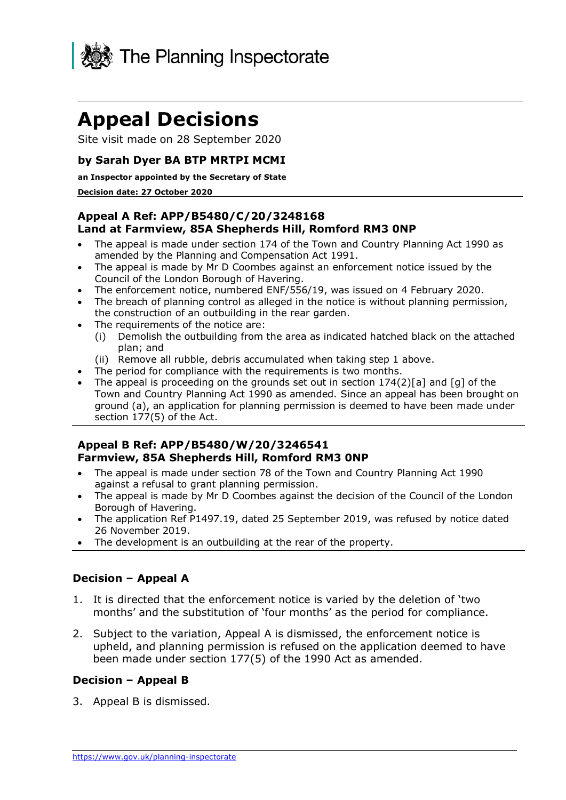

# **Appeal Decisions**

Site visit made on 28 September 2020

## **by Sarah Dyer BA BTP MRTPI MCMI**

#### **an Inspector appointed by the Secretary of State**

#### **Decision date: 27 October 2020**

## **Land at Farmview, 85A Shepherds Hill, Romford RM3 0NP Appeal A Ref: APP/B5480/C/20/3248168**

- • The appeal is made under section 174 of the Town and Country Planning Act 1990 as amended by the Planning and Compensation Act 1991.
- • The appeal is made by Mr D Coombes against an enforcement notice issued by the Council of the London Borough of Havering.
- The enforcement notice, numbered ENF/556/19, was issued on 4 February 2020.
- • The breach of planning control as alleged in the notice is without planning permission, the construction of an outbuilding in the rear garden.
- • The requirements of the notice are:
	- (i) Demolish the outbuilding from the area as indicated hatched black on the attached plan; and
	- (ii) Remove all rubble, debris accumulated when taking step 1 above.
- The period for compliance with the requirements is two months.
- • The appeal is proceeding on the grounds set out in section 174(2)[a] and [g] of the Town and Country Planning Act 1990 as amended. Since an appeal has been brought on ground (a), an application for planning permission is deemed to have been made under section 177(5) of the Act.

## **Farmview, 85A Shepherds Hill, Romford RM3 0NP Appeal B Ref: APP/B5480/W/20/3246541**

- • The appeal is made under section 78 of the Town and Country Planning Act 1990 against a refusal to grant planning permission.
- • The appeal is made by Mr D Coombes against the decision of the Council of the London Borough of Havering.
- • The application Ref P1497.19, dated 25 September 2019, was refused by notice dated 26 November 2019.
- The development is an outbuilding at the rear of the property.

## **Decision – Appeal A**

- 1. It is directed that the enforcement notice is varied by the deletion of 'two months' and the substitution of 'four months' as the period for compliance.
- 2. Subject to the variation, Appeal A is dismissed, the enforcement notice is upheld, and planning permission is refused on the application deemed to have been made under section 177(5) of the 1990 Act as amended.

## **Decision – Appeal B**

3. Appeal B is dismissed.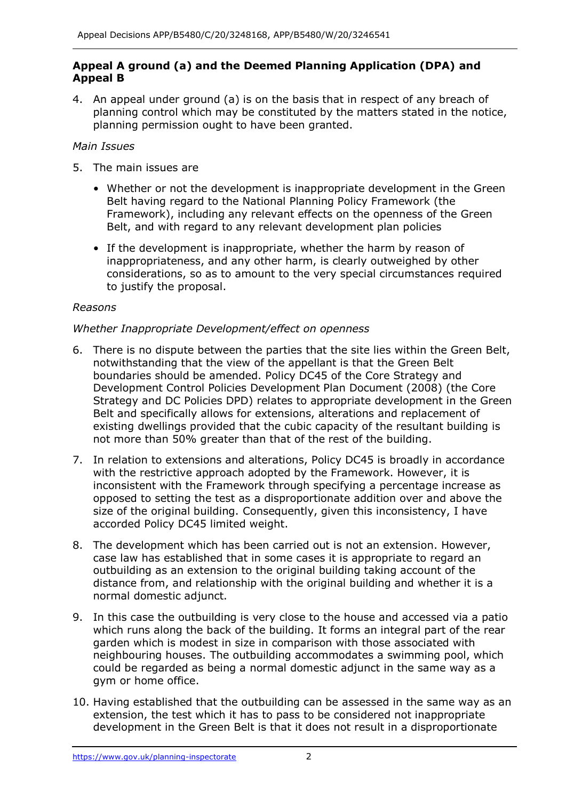## **Appeal A ground (a) and the Deemed Planning Application (DPA) and Appeal B**

 4. An appeal under ground (a) is on the basis that in respect of any breach of planning control which may be constituted by the matters stated in the notice, planning permission ought to have been granted.

## *Main Issues*

- 5. The main issues are
	- • Whether or not the development is inappropriate development in the Green Belt having regard to the National Planning Policy Framework (the Framework), including any relevant effects on the openness of the Green Belt, and with regard to any relevant development plan policies
	- • If the development is inappropriate, whether the harm by reason of inappropriateness, and any other harm, is clearly outweighed by other considerations, so as to amount to the very special circumstances required to justify the proposal.

# *Reasons*

## *Whether Inappropriate Development/effect on openness*

- 6. There is no dispute between the parties that the site lies within the Green Belt, notwithstanding that the view of the appellant is that the Green Belt boundaries should be amended. Policy DC45 of the Core Strategy and Development Control Policies Development Plan Document (2008) (the Core Strategy and DC Policies DPD) relates to appropriate development in the Green existing dwellings provided that the cubic capacity of the resultant building is not more than 50% greater than that of the rest of the building. Belt and specifically allows for extensions, alterations and replacement of
- 7. In relation to extensions and alterations, Policy DC45 is broadly in accordance inconsistent with the Framework through specifying a percentage increase as opposed to setting the test as a disproportionate addition over and above the size of the original building. Consequently, given this inconsistency, I have accorded Policy DC45 limited weight. with the restrictive approach adopted by the Framework. However, it is
- case law has established that in some cases it is appropriate to regard an distance from, and relationship with the original building and whether it is a 8. The development which has been carried out is not an extension. However, outbuilding as an extension to the original building taking account of the normal domestic adjunct.
- 9. In this case the outbuilding is very close to the house and accessed via a patio which runs along the back of the building. It forms an integral part of the rear garden which is modest in size in comparison with those associated with neighbouring houses. The outbuilding accommodates a swimming pool, which could be regarded as being a normal domestic adjunct in the same way as a gym or home office.
- 10. Having established that the outbuilding can be assessed in the same way as an extension, the test which it has to pass to be considered not inappropriate development in the Green Belt is that it does not result in a disproportionate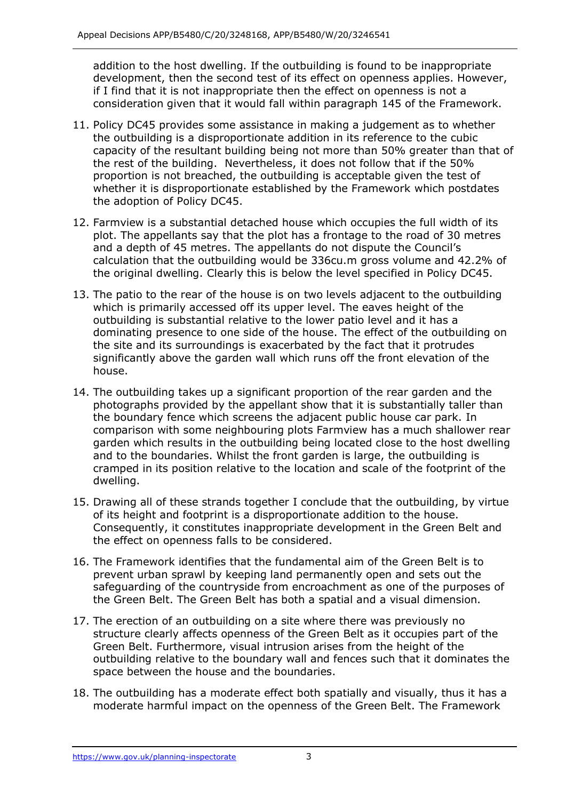addition to the host dwelling. If the outbuilding is found to be inappropriate development, then the second test of its effect on openness applies. However, if I find that it is not inappropriate then the effect on openness is not a consideration given that it would fall within paragraph 145 of the Framework.

- 11. Policy DC45 provides some assistance in making a judgement as to whether capacity of the resultant building being not more than 50% greater than that of the rest of the building. Nevertheless, it does not follow that if the 50% proportion is not breached, the outbuilding is acceptable given the test of whether it is disproportionate established by the Framework which postdates the outbuilding is a disproportionate addition in its reference to the cubic the adoption of Policy DC45.
- 12. Farmview is a substantial detached house which occupies the full width of its plot. The appellants say that the plot has a frontage to the road of 30 metres and a depth of 45 metres. The appellants do not dispute the Council's calculation that the outbuilding would be 336cu.m gross volume and 42.2% of the original dwelling. Clearly this is below the level specified in Policy DC45.
- 13. The patio to the rear of the house is on two levels adjacent to the outbuilding which is primarily accessed off its upper level. The eaves height of the outbuilding is substantial relative to the lower patio level and it has a dominating presence to one side of the house. The effect of the outbuilding on the site and its surroundings is exacerbated by the fact that it protrudes significantly above the garden wall which runs off the front elevation of the house.
- 14. The outbuilding takes up a significant proportion of the rear garden and the photographs provided by the appellant show that it is substantially taller than the boundary fence which screens the adjacent public house car park. In comparison with some neighbouring plots Farmview has a much shallower rear garden which results in the outbuilding being located close to the host dwelling and to the boundaries. Whilst the front garden is large, the outbuilding is cramped in its position relative to the location and scale of the footprint of the dwelling.
- 15. Drawing all of these strands together I conclude that the outbuilding, by virtue of its height and footprint is a disproportionate addition to the house. Consequently, it constitutes inappropriate development in the Green Belt and the effect on openness falls to be considered.
- 16. The Framework identifies that the fundamental aim of the Green Belt is to prevent urban sprawl by keeping land permanently open and sets out the safeguarding of the countryside from encroachment as one of the purposes of the Green Belt. The Green Belt has both a spatial and a visual dimension.
- 17. The erection of an outbuilding on a site where there was previously no structure clearly affects openness of the Green Belt as it occupies part of the Green Belt. Furthermore, visual intrusion arises from the height of the outbuilding relative to the boundary wall and fences such that it dominates the space between the house and the boundaries.
- 18. The outbuilding has a moderate effect both spatially and visually, thus it has a moderate harmful impact on the openness of the Green Belt. The Framework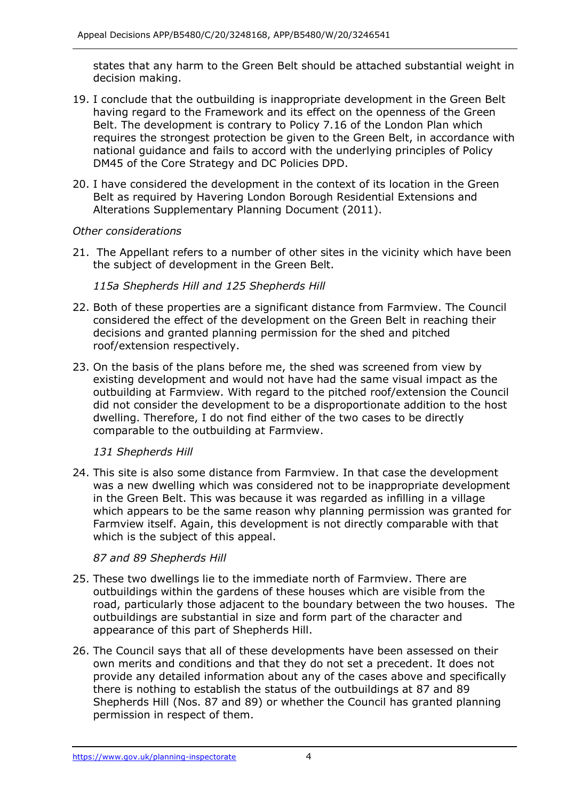states that any harm to the Green Belt should be attached substantial weight in decision making.

- 19. I conclude that the outbuilding is inappropriate development in the Green Belt having regard to the Framework and its effect on the openness of the Green Belt. The development is contrary to Policy 7.16 of the London Plan which requires the strongest protection be given to the Green Belt, in accordance with national guidance and fails to accord with the underlying principles of Policy DM45 of the Core Strategy and DC Policies DPD.
- 20. I have considered the development in the context of its location in the Green Belt as required by Havering London Borough Residential Extensions and Alterations Supplementary Planning Document (2011).

## *Other considerations*

 21. The Appellant refers to a number of other sites in the vicinity which have been the subject of development in the Green Belt.

 *115a Shepherds Hill and 125 Shepherds Hill* 

- 22. Both of these properties are a significant distance from Farmview. The Council considered the effect of the development on the Green Belt in reaching their decisions and granted planning permission for the shed and pitched roof/extension respectively.
- 23. On the basis of the plans before me, the shed was screened from view by existing development and would not have had the same visual impact as the outbuilding at Farmview. With regard to the pitched roof/extension the Council did not consider the development to be a disproportionate addition to the host dwelling. Therefore, I do not find either of the two cases to be directly comparable to the outbuilding at Farmview.

## *131 Shepherds Hill*

 24. This site is also some distance from Farmview. In that case the development was a new dwelling which was considered not to be inappropriate development in the Green Belt. This was because it was regarded as infilling in a village which appears to be the same reason why planning permission was granted for Farmview itself. Again, this development is not directly comparable with that which is the subject of this appeal.

## *87 and 89 Shepherds Hill*

- 25. These two dwellings lie to the immediate north of Farmview. There are outbuildings within the gardens of these houses which are visible from the road, particularly those adjacent to the boundary between the two houses. The outbuildings are substantial in size and form part of the character and appearance of this part of Shepherds Hill.
- 26. The Council says that all of these developments have been assessed on their own merits and conditions and that they do not set a precedent. It does not provide any detailed information about any of the cases above and specifically there is nothing to establish the status of the outbuildings at 87 and 89 Shepherds Hill (Nos. 87 and 89) or whether the Council has granted planning permission in respect of them.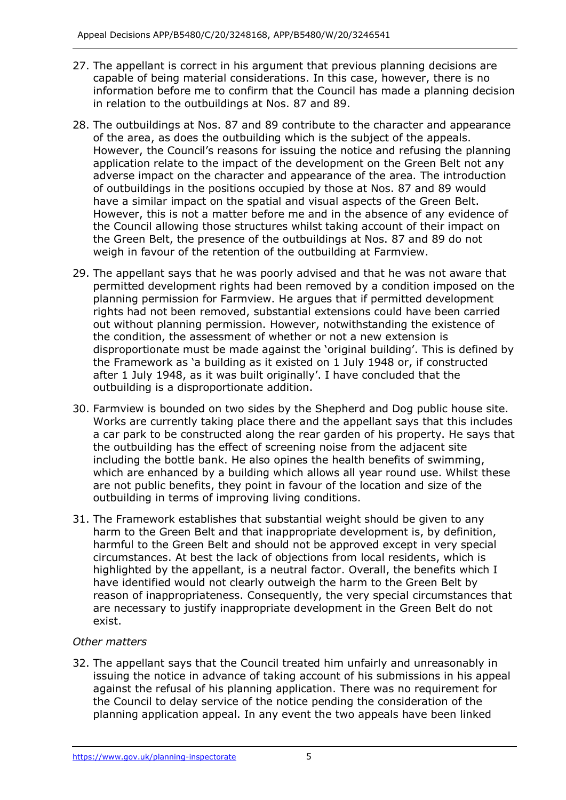- 27. The appellant is correct in his argument that previous planning decisions are capable of being material considerations. In this case, however, there is no information before me to confirm that the Council has made a planning decision in relation to the outbuildings at Nos. 87 and 89.
- 28. The outbuildings at Nos. 87 and 89 contribute to the character and appearance However, the Council's reasons for issuing the notice and refusing the planning application relate to the impact of the development on the Green Belt not any adverse impact on the character and appearance of the area. The introduction of outbuildings in the positions occupied by those at Nos. 87 and 89 would have a similar impact on the spatial and visual aspects of the Green Belt. However, this is not a matter before me and in the absence of any evidence of the Council allowing those structures whilst taking account of their impact on the Green Belt, the presence of the outbuildings at Nos. 87 and 89 do not weigh in favour of the retention of the outbuilding at Farmview. of the area, as does the outbuilding which is the subject of the appeals.
- 29. The appellant says that he was poorly advised and that he was not aware that permitted development rights had been removed by a condition imposed on the planning permission for Farmview. He argues that if permitted development rights had not been removed, substantial extensions could have been carried out without planning permission. However, notwithstanding the existence of the condition, the assessment of whether or not a new extension is disproportionate must be made against the 'original building'. This is defined by the Framework as 'a building as it existed on 1 July 1948 or, if constructed after 1 July 1948, as it was built originally'. I have concluded that the outbuilding is a disproportionate addition.
- 30. Farmview is bounded on two sides by the Shepherd and Dog public house site. Works are currently taking place there and the appellant says that this includes a car park to be constructed along the rear garden of his property. He says that the outbuilding has the effect of screening noise from the adjacent site including the bottle bank. He also opines the health benefits of swimming, which are enhanced by a building which allows all year round use. Whilst these are not public benefits, they point in favour of the location and size of the outbuilding in terms of improving living conditions.
- 31. The Framework establishes that substantial weight should be given to any harm to the Green Belt and that inappropriate development is, by definition, harmful to the Green Belt and should not be approved except in very special circumstances. At best the lack of objections from local residents, which is highlighted by the appellant, is a neutral factor. Overall, the benefits which I have identified would not clearly outweigh the harm to the Green Belt by reason of inappropriateness. Consequently, the very special circumstances that are necessary to justify inappropriate development in the Green Belt do not exist.

## *Other matters*

 32. The appellant says that the Council treated him unfairly and unreasonably in issuing the notice in advance of taking account of his submissions in his appeal against the refusal of his planning application. There was no requirement for the Council to delay service of the notice pending the consideration of the planning application appeal. In any event the two appeals have been linked